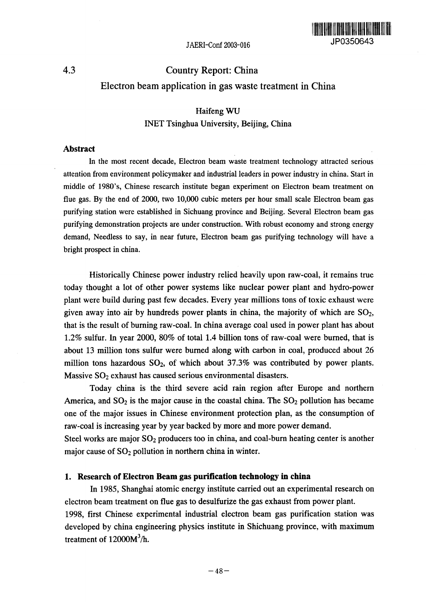

# 4.3 Country Report: China Electron beam application in gas waste treatment in China

# Haifeng WU INET Tsinghua University, Beijing, China

#### **Abstract**

In the most recent decade, Electron beam waste treatment technology attracted serious attention from environment policymaker and industrial leaders in power industry in china. Start in middle of 1980's, Chinese research institute began experiment on Electron beam treatment on flue gas. By the end of 2000, two 10,000 cubic meters per hour small scale Electron beam gas purifying station were established in Sichuang province and Beijing. Several Electron beam gas purifying demonstration projects are under construction. With robust economy and strong energy demand, Needless to say, in near future, Electron beam gas purifying technology will have a bright prospect in china.

Historically Chinese power industry relied heavily upon raw-coal, it remains true today thought a lot of other power systems like nuclear power plant and hydro-power plant were build during past few decades. Every year millions tons of toxic exhaust were given away into air by hundreds power plants in china, the majority of which are  $SO_2$ , that is the result of burning raw-coal. In china average coal used in power plant has about 1.2% sulfur. In year 2000, 80% of total 14 billion tons of raw-coal were burned, that is about 13 million tons sulfur were burned along with carbon in coal, produced about 26 million tons hazardous  $SO_2$ , of which about 37.3% was contributed by power plants. Massive  $SO<sub>2</sub>$  exhaust has caused serious environmental disasters.

Today china is the third severe acid rain region after Europe and northern America, and  $SO_2$  is the major cause in the coastal china. The  $SO_2$  pollution has became one of the major issues in Chinese environment protection plan, as the consumption of raw-coal is increasing year by year backed by more and more power demand.

Steel works are major  $SO_2$  producers too in china, and coal-burn heating center is another major cause of  $SO<sub>2</sub>$  pollution in northern china in winter.

#### 1. **Research of Electron Beam gas purification technology in china**

In 1985, Shanghai atomic energy institute carried out an experimental research on electron beam treatment on flue gas to desulfurize the gas exhaust from power plant. 1998, first Chinese experimental industrial electron beam gas purification station was developed by china engineering physics institute in Shichuang province, with maximum treatment of  $12000M^3/h$ .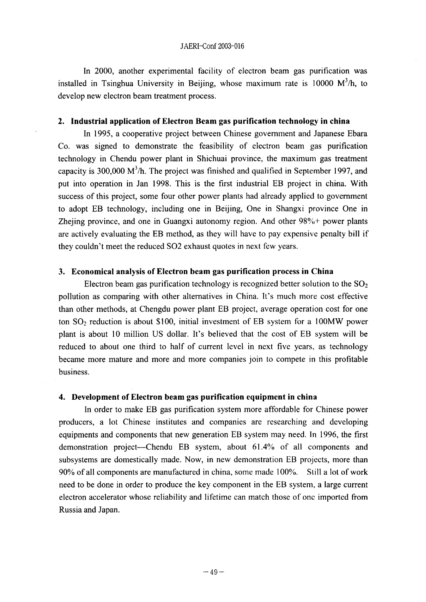In 2000, another experimental facility of electron beam gas purification was installed in Tsinghua University in Beijing, whose maximum rate is  $10000 \, \text{M}^3/\text{h}$ , to develop new electron beam treatment process.

## **2. Industrial application of Electron Beam gas purification technology in china**

In 1995, a cooperative project between Chinese government and Japanese Ebara Co. was signed to demonstrate the feasibility of electron beam gas purification technology in Chendu power plant in Shichuai province, the maximum gas treatment capacity is 300,000  $M^3/h$ . The project was finished and qualified in September 1997, and put into operation in Jan 1998. This is the first industrial EB project in china. With success of this project, some four other power plants had already applied to government to adopt EB technology, including one in Beijing, One in Shangxi province One in Zhejing province, and one in Guangxi autonomy region. And other 98%+ power plants are actively evaluating the EB method, as they will have to pay expensive penalty bill if they couldn't meet the reduced S02 exhaust quotes **in** next few years.

#### **3. Economical analysis of Electron beam gas purification process in China**

Electron beam gas purification technology is recognized better solution to the  $SO<sub>2</sub>$ pollution as comparing with other alternatives in China. It's much more cost effective than other methods, at Chengdu power plant EB project, average operation cost for one ton  $SO_2$  reduction is about \$100, initial investment of EB system for a 100MW power plant is about 10 million US dollar. It's believed that the cost of EB system will be reduced to about one third to half of current level in next five years, as technology became more mature and more and more companies join to compete in this profitable business.

## **4. Development of Electron beam gas purification equipment in china**

In order to make EB gas purification system more affordable for Chinese power producers, a lot Chinese institutes and companies are researching and developing equipments and components that new generation EB system may need. In 1996, the first demonstration project-Chendu EB system, about 61.4% of all components and subsystems are domestically made. Now, in new demonstration EB projects, more than 90% of all components are manufactured in china, some made 100%. Still a lot of work need to be done in order to produce the key component in the EB system, a large current electron accelerator whose reliability and lifetime can match those of one imported from Russia and Japan.